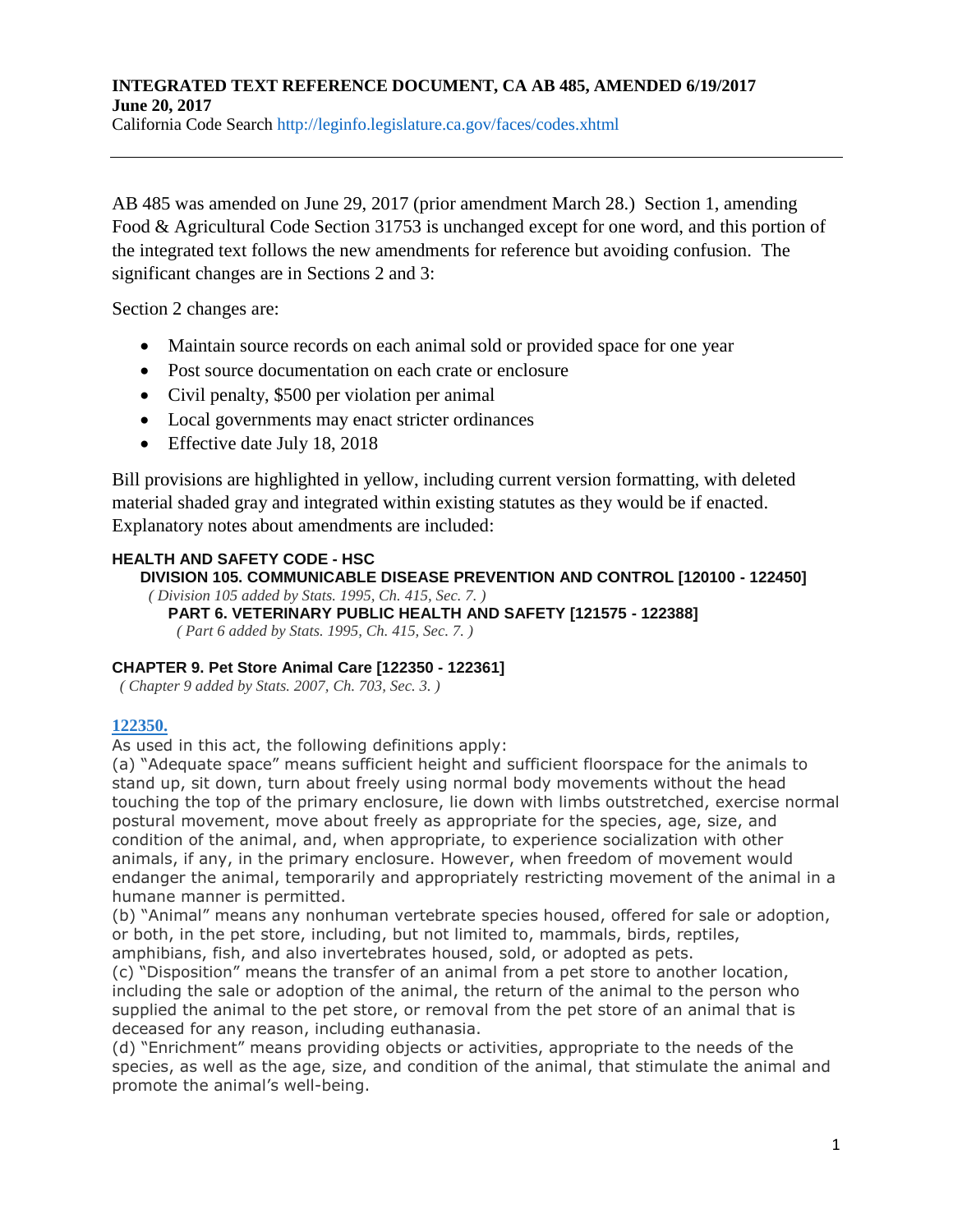California Code Search http://leginfo.legislature.ca.gov/faces/codes.xhtml

AB 485 was amended on June 29, 2017 (prior amendment March 28.) Section 1, amending Food & Agricultural Code Section 31753 is unchanged except for one word, and this portion of the integrated text follows the new amendments for reference but avoiding confusion. The significant changes are in Sections 2 and 3:

Section 2 changes are:

- Maintain source records on each animal sold or provided space for one year
- Post source documentation on each crate or enclosure
- Civil penalty, \$500 per violation per animal
- Local governments may enact stricter ordinances
- Effective date July 18, 2018

Bill provisions are highlighted in yellow, including current version formatting, with deleted material shaded gray and integrated within existing statutes as they would be if enacted. Explanatory notes about amendments are included:

### **HEALTH AND SAFETY CODE - HSC**

### **DIVISION 105. COMMUNICABLE DISEASE PREVENTION AND CONTROL [120100 - 122450]**

*( Division 105 added by Stats. 1995, Ch. 415, Sec. 7. )*

**PART 6. VETERINARY PUBLIC HEALTH AND SAFETY [121575 - 122388]** *( Part 6 added by Stats. 1995, Ch. 415, Sec. 7. )*

#### **CHAPTER 9. Pet Store Animal Care [122350 - 122361]**

*( Chapter 9 added by Stats. 2007, Ch. 703, Sec. 3. )*

### **[122350.](javascript:submitCodesValues()**

As used in this act, the following definitions apply:

(a) "Adequate space" means sufficient height and sufficient floorspace for the animals to stand up, sit down, turn about freely using normal body movements without the head touching the top of the primary enclosure, lie down with limbs outstretched, exercise normal postural movement, move about freely as appropriate for the species, age, size, and condition of the animal, and, when appropriate, to experience socialization with other animals, if any, in the primary enclosure. However, when freedom of movement would endanger the animal, temporarily and appropriately restricting movement of the animal in a humane manner is permitted.

(b) "Animal" means any nonhuman vertebrate species housed, offered for sale or adoption, or both, in the pet store, including, but not limited to, mammals, birds, reptiles, amphibians, fish, and also invertebrates housed, sold, or adopted as pets.

(c) "Disposition" means the transfer of an animal from a pet store to another location, including the sale or adoption of the animal, the return of the animal to the person who supplied the animal to the pet store, or removal from the pet store of an animal that is deceased for any reason, including euthanasia.

(d) "Enrichment" means providing objects or activities, appropriate to the needs of the species, as well as the age, size, and condition of the animal, that stimulate the animal and promote the animal's well-being.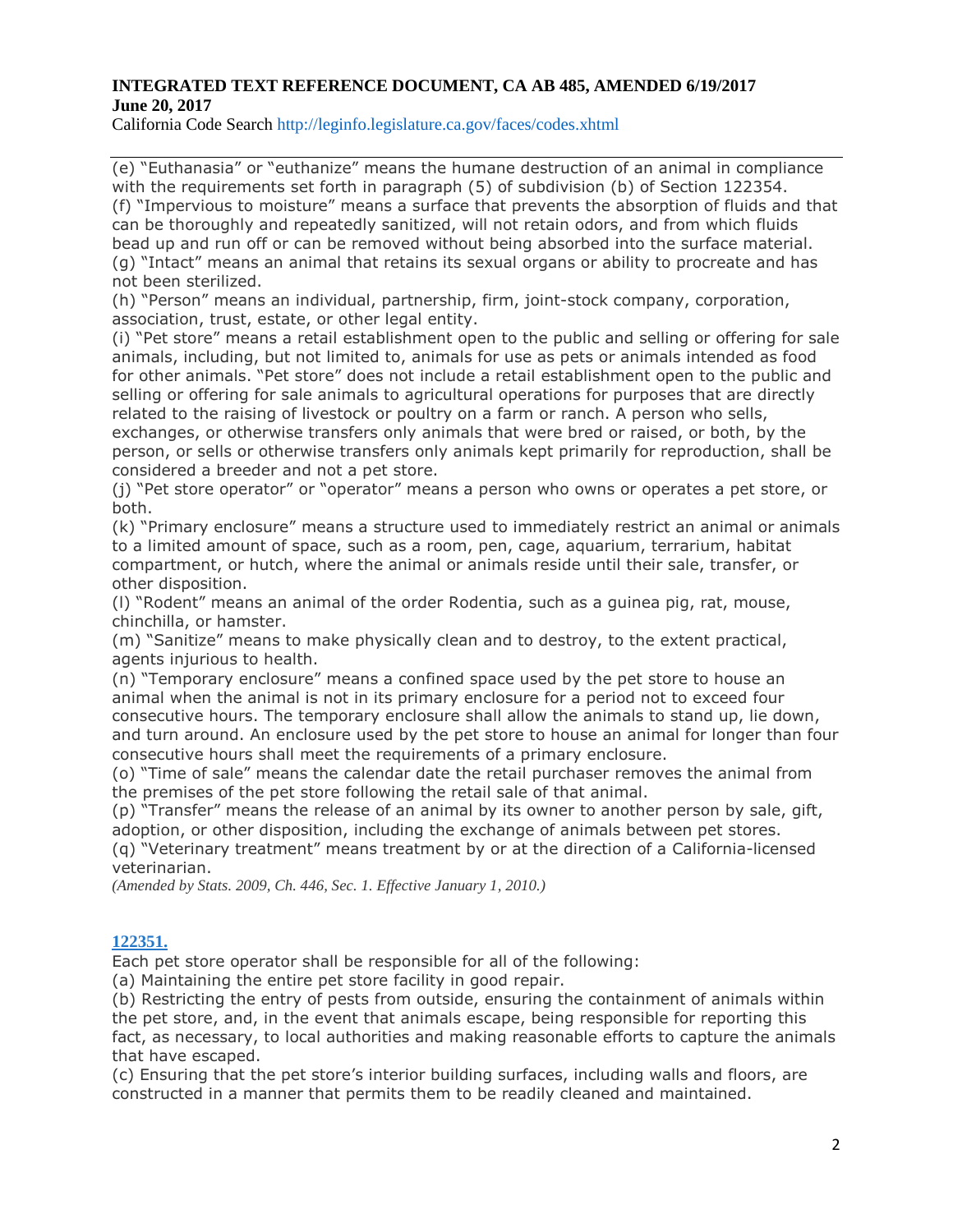California Code Search http://leginfo.legislature.ca.gov/faces/codes.xhtml

(e) "Euthanasia" or "euthanize" means the humane destruction of an animal in compliance with the requirements set forth in paragraph (5) of subdivision (b) of Section 122354. (f) "Impervious to moisture" means a surface that prevents the absorption of fluids and that can be thoroughly and repeatedly sanitized, will not retain odors, and from which fluids bead up and run off or can be removed without being absorbed into the surface material. (g) "Intact" means an animal that retains its sexual organs or ability to procreate and has not been sterilized.

(h) "Person" means an individual, partnership, firm, joint-stock company, corporation, association, trust, estate, or other legal entity.

(i) "Pet store" means a retail establishment open to the public and selling or offering for sale animals, including, but not limited to, animals for use as pets or animals intended as food for other animals. "Pet store" does not include a retail establishment open to the public and selling or offering for sale animals to agricultural operations for purposes that are directly related to the raising of livestock or poultry on a farm or ranch. A person who sells, exchanges, or otherwise transfers only animals that were bred or raised, or both, by the person, or sells or otherwise transfers only animals kept primarily for reproduction, shall be considered a breeder and not a pet store.

(j) "Pet store operator" or "operator" means a person who owns or operates a pet store, or both.

(k) "Primary enclosure" means a structure used to immediately restrict an animal or animals to a limited amount of space, such as a room, pen, cage, aquarium, terrarium, habitat compartment, or hutch, where the animal or animals reside until their sale, transfer, or other disposition.

(l) "Rodent" means an animal of the order Rodentia, such as a guinea pig, rat, mouse, chinchilla, or hamster.

(m) "Sanitize" means to make physically clean and to destroy, to the extent practical, agents injurious to health.

(n) "Temporary enclosure" means a confined space used by the pet store to house an animal when the animal is not in its primary enclosure for a period not to exceed four consecutive hours. The temporary enclosure shall allow the animals to stand up, lie down, and turn around. An enclosure used by the pet store to house an animal for longer than four consecutive hours shall meet the requirements of a primary enclosure.

(o) "Time of sale" means the calendar date the retail purchaser removes the animal from the premises of the pet store following the retail sale of that animal.

(p) "Transfer" means the release of an animal by its owner to another person by sale, gift, adoption, or other disposition, including the exchange of animals between pet stores.

(q) "Veterinary treatment" means treatment by or at the direction of a California-licensed veterinarian.

*(Amended by Stats. 2009, Ch. 446, Sec. 1. Effective January 1, 2010.)*

#### **[122351.](javascript:submitCodesValues()**

Each pet store operator shall be responsible for all of the following:

(a) Maintaining the entire pet store facility in good repair.

(b) Restricting the entry of pests from outside, ensuring the containment of animals within the pet store, and, in the event that animals escape, being responsible for reporting this fact, as necessary, to local authorities and making reasonable efforts to capture the animals that have escaped.

(c) Ensuring that the pet store's interior building surfaces, including walls and floors, are constructed in a manner that permits them to be readily cleaned and maintained.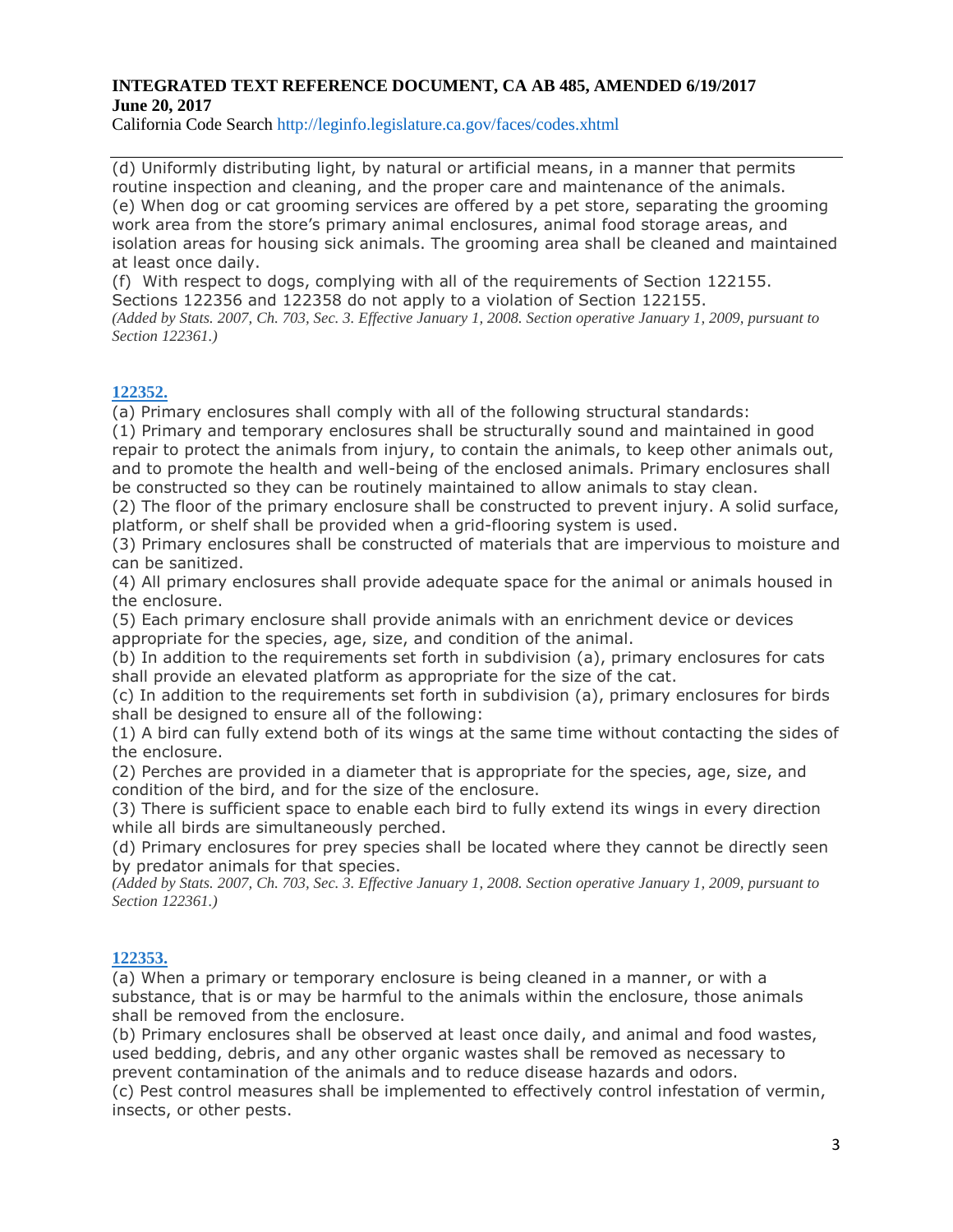California Code Search http://leginfo.legislature.ca.gov/faces/codes.xhtml

(d) Uniformly distributing light, by natural or artificial means, in a manner that permits routine inspection and cleaning, and the proper care and maintenance of the animals. (e) When dog or cat grooming services are offered by a pet store, separating the grooming work area from the store's primary animal enclosures, animal food storage areas, and isolation areas for housing sick animals. The grooming area shall be cleaned and maintained at least once daily.

(f) With respect to dogs, complying with all of the requirements of Section 122155. Sections 122356 and 122358 do not apply to a violation of Section 122155. (Added by Stats. 2007, Ch. 703, Sec. 3. Effective January 1, 2008. Section operative January 1, 2009, pursuant to *Section 122361.)*

### **[122352.](javascript:submitCodesValues()**

(a) Primary enclosures shall comply with all of the following structural standards:

(1) Primary and temporary enclosures shall be structurally sound and maintained in good repair to protect the animals from injury, to contain the animals, to keep other animals out, and to promote the health and well-being of the enclosed animals. Primary enclosures shall be constructed so they can be routinely maintained to allow animals to stay clean.

(2) The floor of the primary enclosure shall be constructed to prevent injury. A solid surface, platform, or shelf shall be provided when a grid-flooring system is used.

(3) Primary enclosures shall be constructed of materials that are impervious to moisture and can be sanitized.

(4) All primary enclosures shall provide adequate space for the animal or animals housed in the enclosure.

(5) Each primary enclosure shall provide animals with an enrichment device or devices appropriate for the species, age, size, and condition of the animal.

(b) In addition to the requirements set forth in subdivision (a), primary enclosures for cats shall provide an elevated platform as appropriate for the size of the cat.

(c) In addition to the requirements set forth in subdivision (a), primary enclosures for birds shall be designed to ensure all of the following:

(1) A bird can fully extend both of its wings at the same time without contacting the sides of the enclosure.

(2) Perches are provided in a diameter that is appropriate for the species, age, size, and condition of the bird, and for the size of the enclosure.

(3) There is sufficient space to enable each bird to fully extend its wings in every direction while all birds are simultaneously perched.

(d) Primary enclosures for prey species shall be located where they cannot be directly seen by predator animals for that species.

(Added by Stats. 2007, Ch. 703, Sec. 3. Effective January 1, 2008. Section operative January 1, 2009, pursuant to *Section 122361.)*

### **[122353.](javascript:submitCodesValues()**

(a) When a primary or temporary enclosure is being cleaned in a manner, or with a substance, that is or may be harmful to the animals within the enclosure, those animals shall be removed from the enclosure.

(b) Primary enclosures shall be observed at least once daily, and animal and food wastes, used bedding, debris, and any other organic wastes shall be removed as necessary to prevent contamination of the animals and to reduce disease hazards and odors.

(c) Pest control measures shall be implemented to effectively control infestation of vermin, insects, or other pests.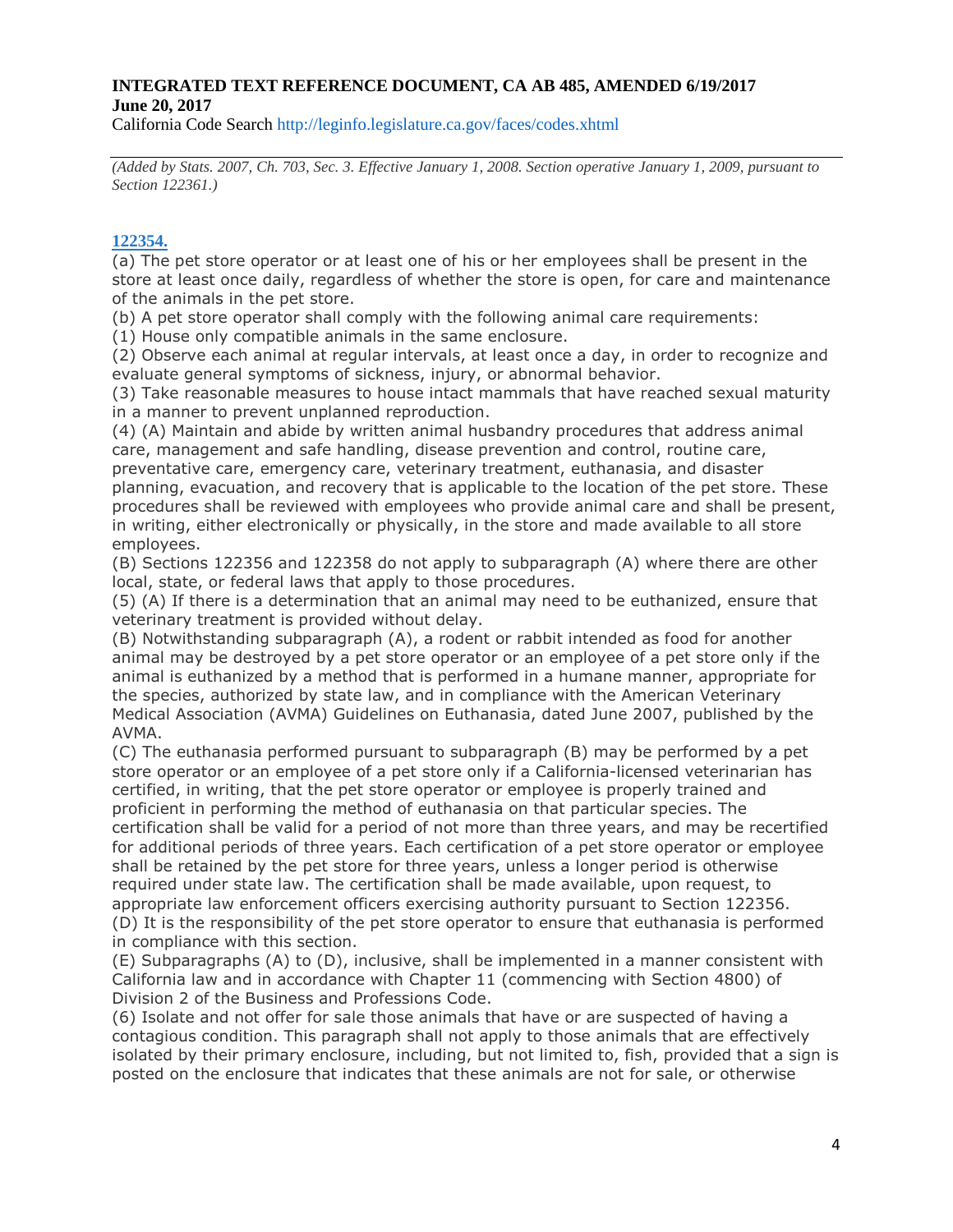California Code Search http://leginfo.legislature.ca.gov/faces/codes.xhtml

(Added by Stats, 2007, Ch. 703, Sec. 3, Effective January 1, 2008, Section operative January 1, 2009, pursuant to *Section 122361.)*

### **[122354.](javascript:submitCodesValues()**

(a) The pet store operator or at least one of his or her employees shall be present in the store at least once daily, regardless of whether the store is open, for care and maintenance of the animals in the pet store.

(b) A pet store operator shall comply with the following animal care requirements:

(1) House only compatible animals in the same enclosure.

(2) Observe each animal at regular intervals, at least once a day, in order to recognize and evaluate general symptoms of sickness, injury, or abnormal behavior.

(3) Take reasonable measures to house intact mammals that have reached sexual maturity in a manner to prevent unplanned reproduction.

(4) (A) Maintain and abide by written animal husbandry procedures that address animal care, management and safe handling, disease prevention and control, routine care,

preventative care, emergency care, veterinary treatment, euthanasia, and disaster planning, evacuation, and recovery that is applicable to the location of the pet store. These procedures shall be reviewed with employees who provide animal care and shall be present, in writing, either electronically or physically, in the store and made available to all store employees.

(B) Sections 122356 and 122358 do not apply to subparagraph (A) where there are other local, state, or federal laws that apply to those procedures.

(5) (A) If there is a determination that an animal may need to be euthanized, ensure that veterinary treatment is provided without delay.

(B) Notwithstanding subparagraph (A), a rodent or rabbit intended as food for another animal may be destroyed by a pet store operator or an employee of a pet store only if the animal is euthanized by a method that is performed in a humane manner, appropriate for the species, authorized by state law, and in compliance with the American Veterinary Medical Association (AVMA) Guidelines on Euthanasia, dated June 2007, published by the AVMA.

(C) The euthanasia performed pursuant to subparagraph (B) may be performed by a pet store operator or an employee of a pet store only if a California-licensed veterinarian has certified, in writing, that the pet store operator or employee is properly trained and proficient in performing the method of euthanasia on that particular species. The certification shall be valid for a period of not more than three years, and may be recertified for additional periods of three years. Each certification of a pet store operator or employee shall be retained by the pet store for three years, unless a longer period is otherwise required under state law. The certification shall be made available, upon request, to appropriate law enforcement officers exercising authority pursuant to Section 122356. (D) It is the responsibility of the pet store operator to ensure that euthanasia is performed in compliance with this section.

(E) Subparagraphs (A) to (D), inclusive, shall be implemented in a manner consistent with California law and in accordance with Chapter 11 (commencing with Section 4800) of Division 2 of the Business and Professions Code.

(6) Isolate and not offer for sale those animals that have or are suspected of having a contagious condition. This paragraph shall not apply to those animals that are effectively isolated by their primary enclosure, including, but not limited to, fish, provided that a sign is posted on the enclosure that indicates that these animals are not for sale, or otherwise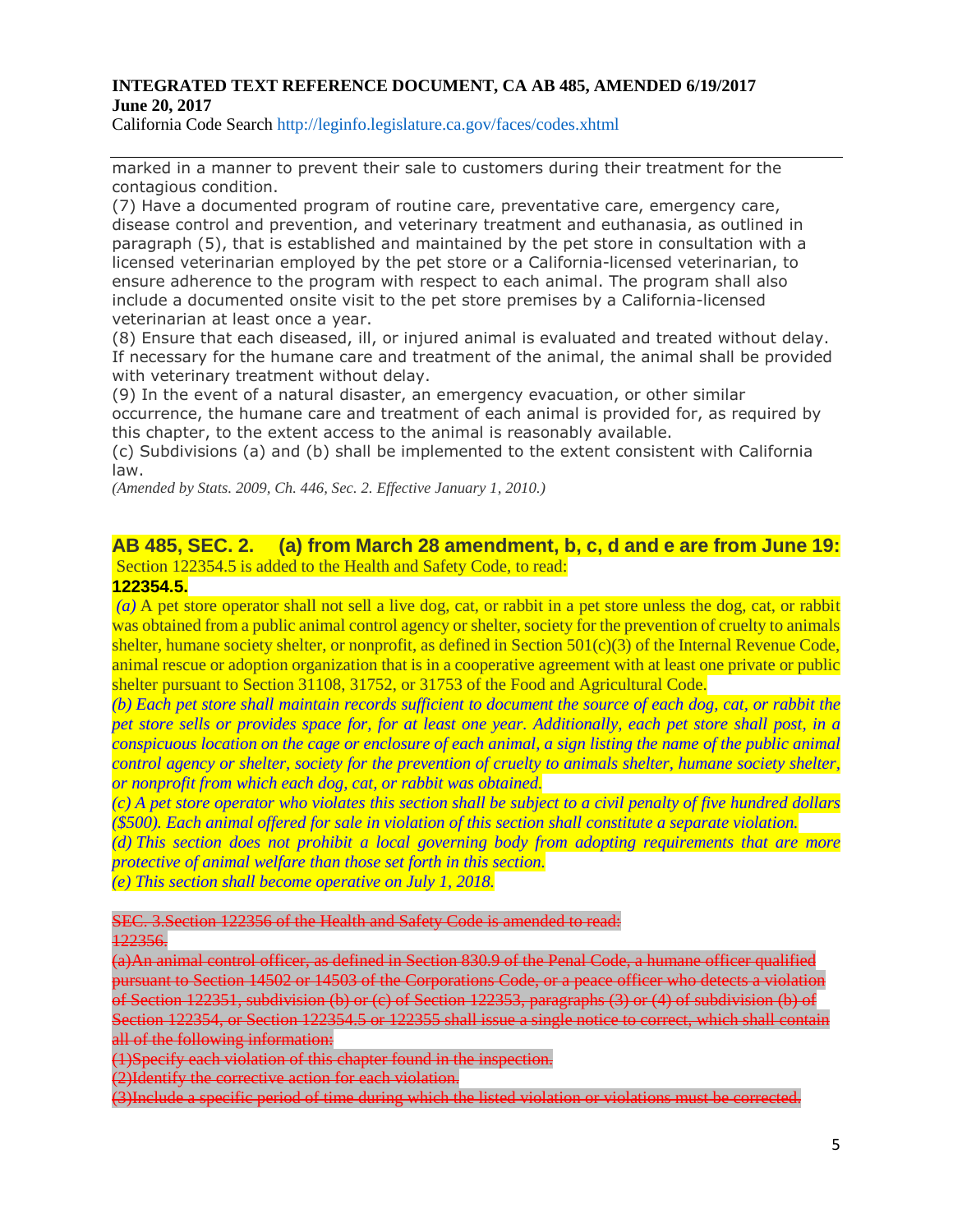California Code Search http://leginfo.legislature.ca.gov/faces/codes.xhtml

marked in a manner to prevent their sale to customers during their treatment for the contagious condition.

(7) Have a documented program of routine care, preventative care, emergency care, disease control and prevention, and veterinary treatment and euthanasia, as outlined in paragraph (5), that is established and maintained by the pet store in consultation with a licensed veterinarian employed by the pet store or a California-licensed veterinarian, to ensure adherence to the program with respect to each animal. The program shall also include a documented onsite visit to the pet store premises by a California-licensed veterinarian at least once a year.

(8) Ensure that each diseased, ill, or injured animal is evaluated and treated without delay. If necessary for the humane care and treatment of the animal, the animal shall be provided with veterinary treatment without delay.

(9) In the event of a natural disaster, an emergency evacuation, or other similar occurrence, the humane care and treatment of each animal is provided for, as required by this chapter, to the extent access to the animal is reasonably available.

(c) Subdivisions (a) and (b) shall be implemented to the extent consistent with California law.

*(Amended by Stats. 2009, Ch. 446, Sec. 2. Effective January 1, 2010.)*

### **AB 485, SEC. 2. (a) from March 28 amendment, b, c, d and e are from June 19:**  Section 122354.5 is added to the Health and Safety Code, to read:

#### **122354.5.**

*(a)* A pet store operator shall not sell a live dog, cat, or rabbit in a pet store unless the dog, cat, or rabbit was obtained from a public animal control agency or shelter, society for the prevention of cruelty to animals shelter, humane society shelter, or nonprofit, as defined in Section 501(c)(3) of the Internal Revenue Code, animal rescue or adoption organization that is in a cooperative agreement with at least one private or public shelter pursuant to Section 31108, 31752, or 31753 of the Food and Agricultural Code.

(b) Each pet store shall maintain records sufficient to document the source of each dog, cat, or rabbit the pet store sells or provides space for, for at least one year. Additionally, each pet store shall post, in a conspicuous location on the cage or enclosure of each animal, a sign listing the name of the public animal *control agency or shelter, society for the prevention of cruelty to animals shelter, humane society shelter, or nonprofit from which each dog, cat, or rabbit was obtained.*

 $(c)$  A pet store operator who violates this section shall be subject to a civil penalty of five hundred dollars *(\$500). Each animal offered for sale in violation of this section shall constitute a separate violation.*

*(d) This section does not prohibit a local governing body from adopting requirements that are more protective of animal welfare than those set forth in this section.*

*(e) This section shall become operative on July 1, 2018.*

#### SEC. 3.Section 122356 of the Health and Safety Code is amended to read:

122356.

(a)An animal control officer, as defined in Section 830.9 of the Penal Code, a humane officer qualified pursuant to Section 14502 or 14503 of the Corporations Code, or a peace officer who detects a violation of Section 122351, subdivision (b) or (c) of Section 122353, paragraphs (3) or (4) of subdivision (b) of Section 122354, or Section 122354.5 or 122355 shall issue a single notice to correct, which shall contain all of the following information:

(1)Specify each violation of this chapter found in the inspection.

(2)Identify the corrective action for each violation.

(3)Include a specific period of time during which the listed violation or violations must be corrected.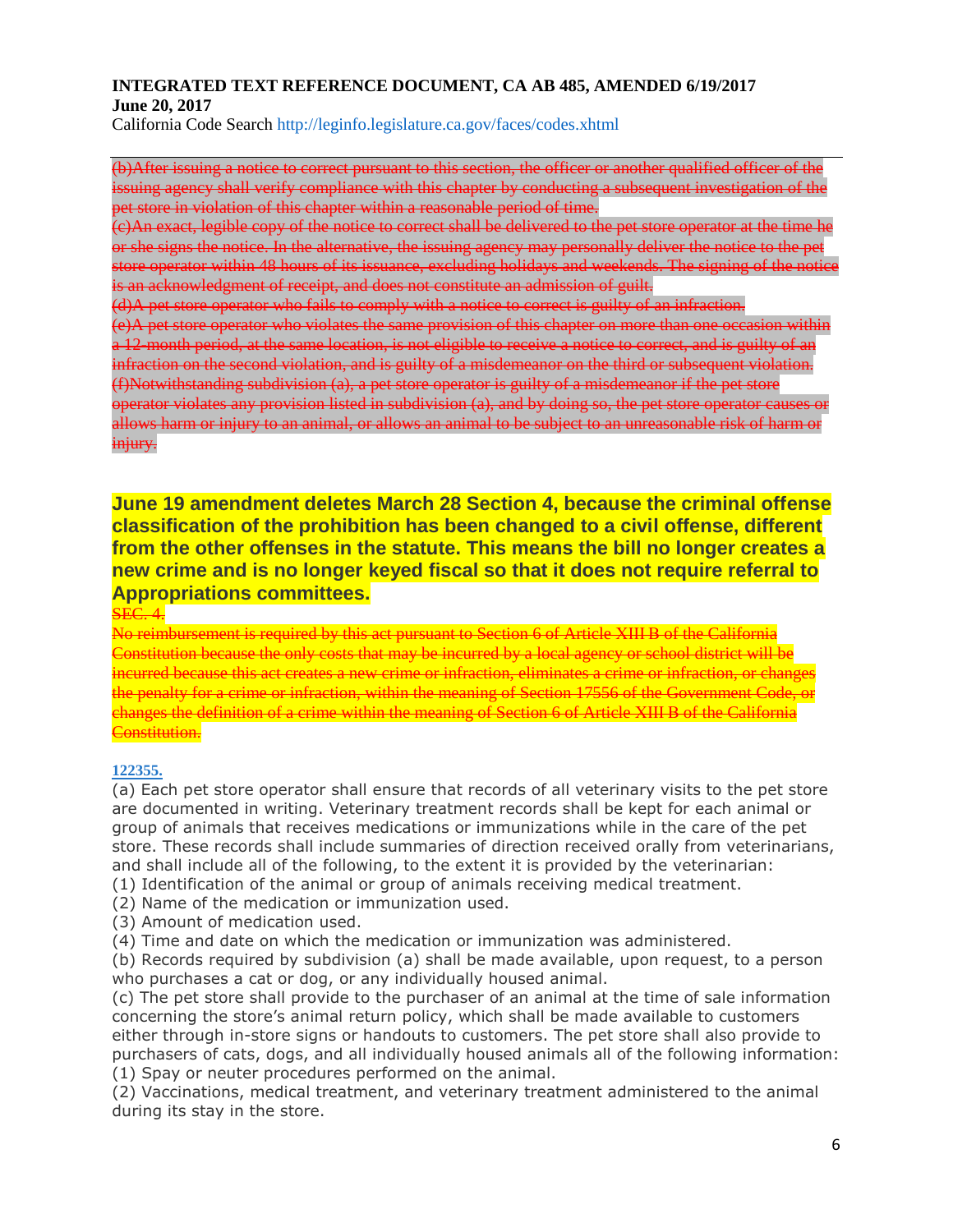California Code Search http://leginfo.legislature.ca.gov/faces/codes.xhtml

(b)After issuing a notice to correct pursuant to this section, the officer or another qualified officer of the issuing agency shall verify compliance with this chapter by conducting a subsequent investigation of the pet store in violation of this chapter within a reasonable period of time.

(c)An exact, legible copy of the notice to correct shall be delivered to the pet store operator at the time he or she signs the notice. In the alternative, the issuing agency may personally deliver the notice to the pet store operator within 48 hours of its issuance, excluding holidays and weekends. The signing of the notice is an acknowledgment of receipt, and does not constitute an admission of guilt.

(d)A pet store operator who fails to comply with a notice to correct is guilty of an infraction.

(e)A pet store operator who violates the same provision of this chapter on more than one occasion within a 12-month period, at the same location, is not eligible to receive a notice to correct, and is guilty of an infraction on the second violation, and is guilty of a misdemeanor on the third or subsequent violation. (f)Notwithstanding subdivision (a), a pet store operator is guilty of a misdemeanor if the pet store operator violates any provision listed in subdivision (a), and by doing so, the pet store operator causes or allows harm or injury to an animal, or allows an animal to be subject to an unreasonable risk of harm or injury.

**June 19 amendment deletes March 28 Section 4, because the criminal offense classification of the prohibition has been changed to a civil offense, different from the other offenses in the statute. This means the bill no longer creates a new crime and is no longer keyed fiscal so that it does not require referral to Appropriations committees.** 

SEC. 4.

No reimbursement is required by this act pursuant to Section 6 of Article XIII B of the California Constitution because the only costs that may be incurred by a local agency or school district will be incurred because this act creates a new crime or infraction, eliminates a crime or infraction, or changes the penalty for a crime or infraction, within the meaning of Section 17556 of the Government Code, or changes the definition of a crime within the meaning of Section 6 of Article XIII B of the California Constitution.

### **[122355.](javascript:submitCodesValues()**

(a) Each pet store operator shall ensure that records of all veterinary visits to the pet store are documented in writing. Veterinary treatment records shall be kept for each animal or group of animals that receives medications or immunizations while in the care of the pet store. These records shall include summaries of direction received orally from veterinarians, and shall include all of the following, to the extent it is provided by the veterinarian:

(1) Identification of the animal or group of animals receiving medical treatment.

(2) Name of the medication or immunization used.

(3) Amount of medication used.

(4) Time and date on which the medication or immunization was administered.

(b) Records required by subdivision (a) shall be made available, upon request, to a person who purchases a cat or dog, or any individually housed animal.

(c) The pet store shall provide to the purchaser of an animal at the time of sale information concerning the store's animal return policy, which shall be made available to customers either through in-store signs or handouts to customers. The pet store shall also provide to purchasers of cats, dogs, and all individually housed animals all of the following information: (1) Spay or neuter procedures performed on the animal.

(2) Vaccinations, medical treatment, and veterinary treatment administered to the animal during its stay in the store.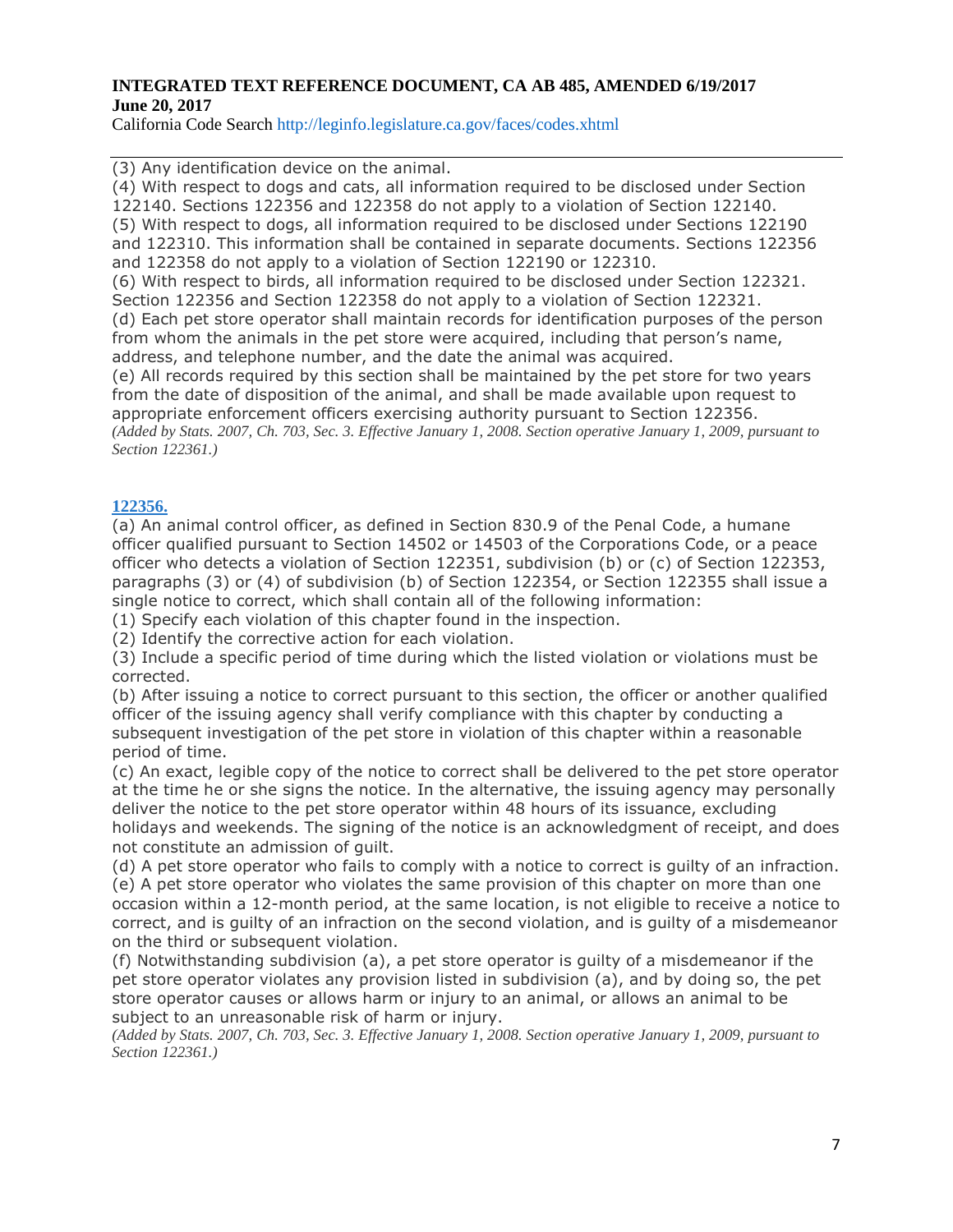California Code Search http://leginfo.legislature.ca.gov/faces/codes.xhtml

(3) Any identification device on the animal.

(4) With respect to dogs and cats, all information required to be disclosed under Section 122140. Sections 122356 and 122358 do not apply to a violation of Section 122140. (5) With respect to dogs, all information required to be disclosed under Sections 122190 and 122310. This information shall be contained in separate documents. Sections 122356 and 122358 do not apply to a violation of Section 122190 or 122310.

(6) With respect to birds, all information required to be disclosed under Section 122321. Section 122356 and Section 122358 do not apply to a violation of Section 122321.

(d) Each pet store operator shall maintain records for identification purposes of the person from whom the animals in the pet store were acquired, including that person's name, address, and telephone number, and the date the animal was acquired.

(e) All records required by this section shall be maintained by the pet store for two years from the date of disposition of the animal, and shall be made available upon request to appropriate enforcement officers exercising authority pursuant to Section 122356. (Added by Stats. 2007, Ch. 703, Sec. 3. Effective January 1, 2008. Section operative January 1, 2009, pursuant to *Section 122361.)*

#### **[122356.](javascript:submitCodesValues()**

(a) An animal control officer, as defined in Section 830.9 of the Penal Code, a humane officer qualified pursuant to Section 14502 or 14503 of the Corporations Code, or a peace officer who detects a violation of Section 122351, subdivision (b) or (c) of Section 122353, paragraphs (3) or (4) of subdivision (b) of Section 122354, or Section 122355 shall issue a single notice to correct, which shall contain all of the following information:

(1) Specify each violation of this chapter found in the inspection.

(2) Identify the corrective action for each violation.

(3) Include a specific period of time during which the listed violation or violations must be corrected.

(b) After issuing a notice to correct pursuant to this section, the officer or another qualified officer of the issuing agency shall verify compliance with this chapter by conducting a subsequent investigation of the pet store in violation of this chapter within a reasonable period of time.

(c) An exact, legible copy of the notice to correct shall be delivered to the pet store operator at the time he or she signs the notice. In the alternative, the issuing agency may personally deliver the notice to the pet store operator within 48 hours of its issuance, excluding holidays and weekends. The signing of the notice is an acknowledgment of receipt, and does not constitute an admission of guilt.

(d) A pet store operator who fails to comply with a notice to correct is guilty of an infraction. (e) A pet store operator who violates the same provision of this chapter on more than one

occasion within a 12-month period, at the same location, is not eligible to receive a notice to correct, and is guilty of an infraction on the second violation, and is guilty of a misdemeanor on the third or subsequent violation.

(f) Notwithstanding subdivision (a), a pet store operator is guilty of a misdemeanor if the pet store operator violates any provision listed in subdivision (a), and by doing so, the pet store operator causes or allows harm or injury to an animal, or allows an animal to be subject to an unreasonable risk of harm or injury.

(Added by Stats. 2007, Ch. 703, Sec. 3. Effective January 1, 2008. Section operative January 1, 2009, pursuant to *Section 122361.)*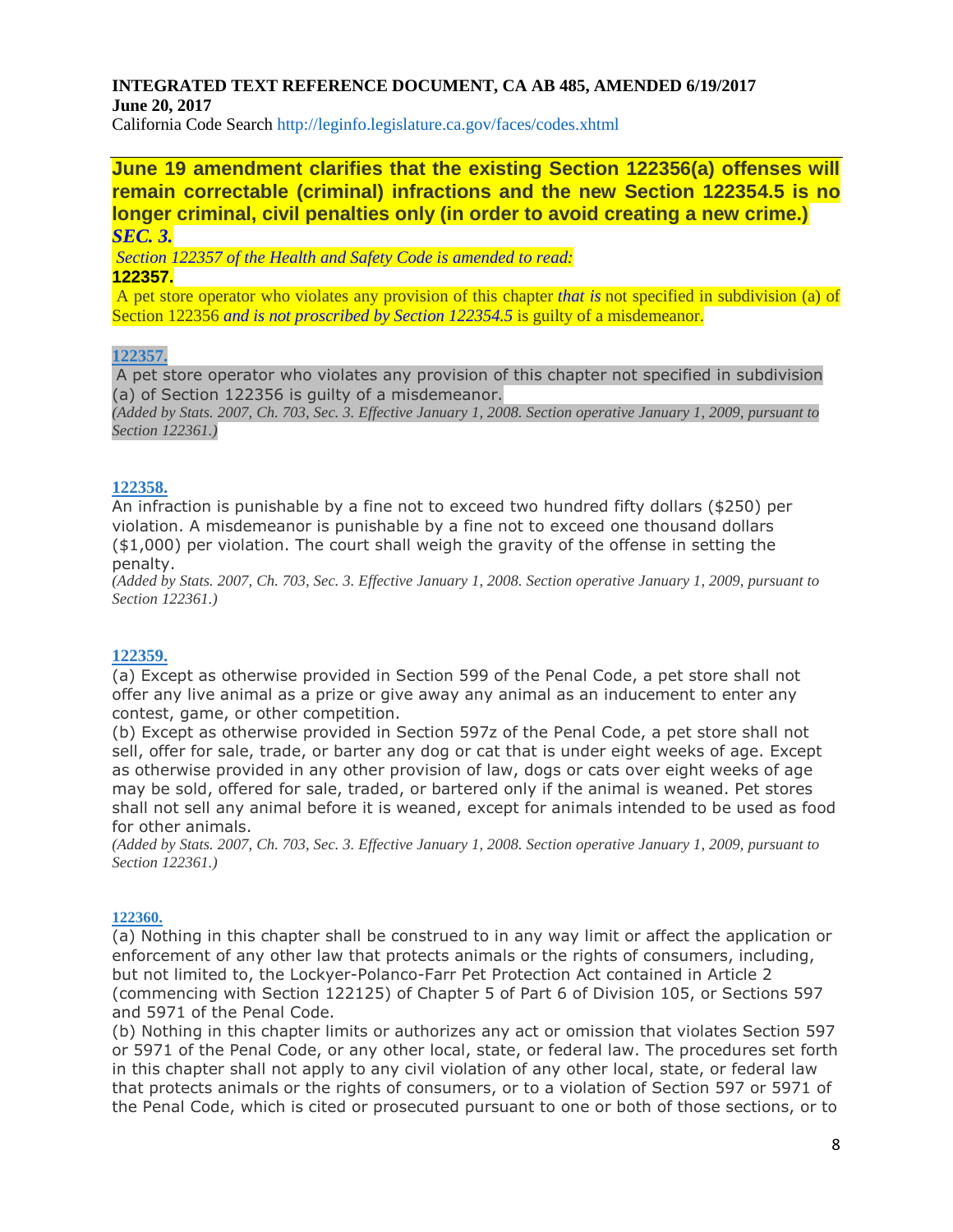California Code Search http://leginfo.legislature.ca.gov/faces/codes.xhtml

**June 19 amendment clarifies that the existing Section 122356(a) offenses will remain correctable (criminal) infractions and the new Section 122354.5 is no longer criminal, civil penalties only (in order to avoid creating a new crime.)** *SEC. 3.*

*Section 122357 of the Health and Safety Code is amended to read:*

#### **122357.**

A pet store operator who violates any provision of this chapter *that is* not specified in subdivision (a) of Section 122356 *and is not proscribed by Section 122354.5* is guilty of a misdemeanor.

### **[122357.](javascript:submitCodesValues()**

A pet store operator who violates any provision of this chapter not specified in subdivision (a) of Section 122356 is guilty of a misdemeanor.

(Added by Stats. 2007, Ch. 703, Sec. 3. Effective January 1, 2008. Section operative January 1, 2009, pursuant to *Section 122361.)*

#### **[122358.](javascript:submitCodesValues()**

An infraction is punishable by a fine not to exceed two hundred fifty dollars (\$250) per violation. A misdemeanor is punishable by a fine not to exceed one thousand dollars (\$1,000) per violation. The court shall weigh the gravity of the offense in setting the penalty.

(Added by Stats. 2007, Ch. 703, Sec. 3. Effective January 1, 2008. Section operative January 1, 2009, pursuant to *Section 122361.)*

#### **[122359.](javascript:submitCodesValues()**

(a) Except as otherwise provided in Section 599 of the Penal Code, a pet store shall not offer any live animal as a prize or give away any animal as an inducement to enter any contest, game, or other competition.

(b) Except as otherwise provided in Section 597z of the Penal Code, a pet store shall not sell, offer for sale, trade, or barter any dog or cat that is under eight weeks of age. Except as otherwise provided in any other provision of law, dogs or cats over eight weeks of age may be sold, offered for sale, traded, or bartered only if the animal is weaned. Pet stores shall not sell any animal before it is weaned, except for animals intended to be used as food for other animals.

(Added by Stats. 2007, Ch. 703, Sec. 3. Effective January 1, 2008. Section operative January 1, 2009, pursuant to *Section 122361.)*

#### **[122360.](javascript:submitCodesValues()**

(a) Nothing in this chapter shall be construed to in any way limit or affect the application or enforcement of any other law that protects animals or the rights of consumers, including, but not limited to, the Lockyer-Polanco-Farr Pet Protection Act contained in Article 2 (commencing with Section 122125) of Chapter 5 of Part 6 of Division 105, or Sections 597 and 5971 of the Penal Code.

(b) Nothing in this chapter limits or authorizes any act or omission that violates Section 597 or 5971 of the Penal Code, or any other local, state, or federal law. The procedures set forth in this chapter shall not apply to any civil violation of any other local, state, or federal law that protects animals or the rights of consumers, or to a violation of Section 597 or 5971 of the Penal Code, which is cited or prosecuted pursuant to one or both of those sections, or to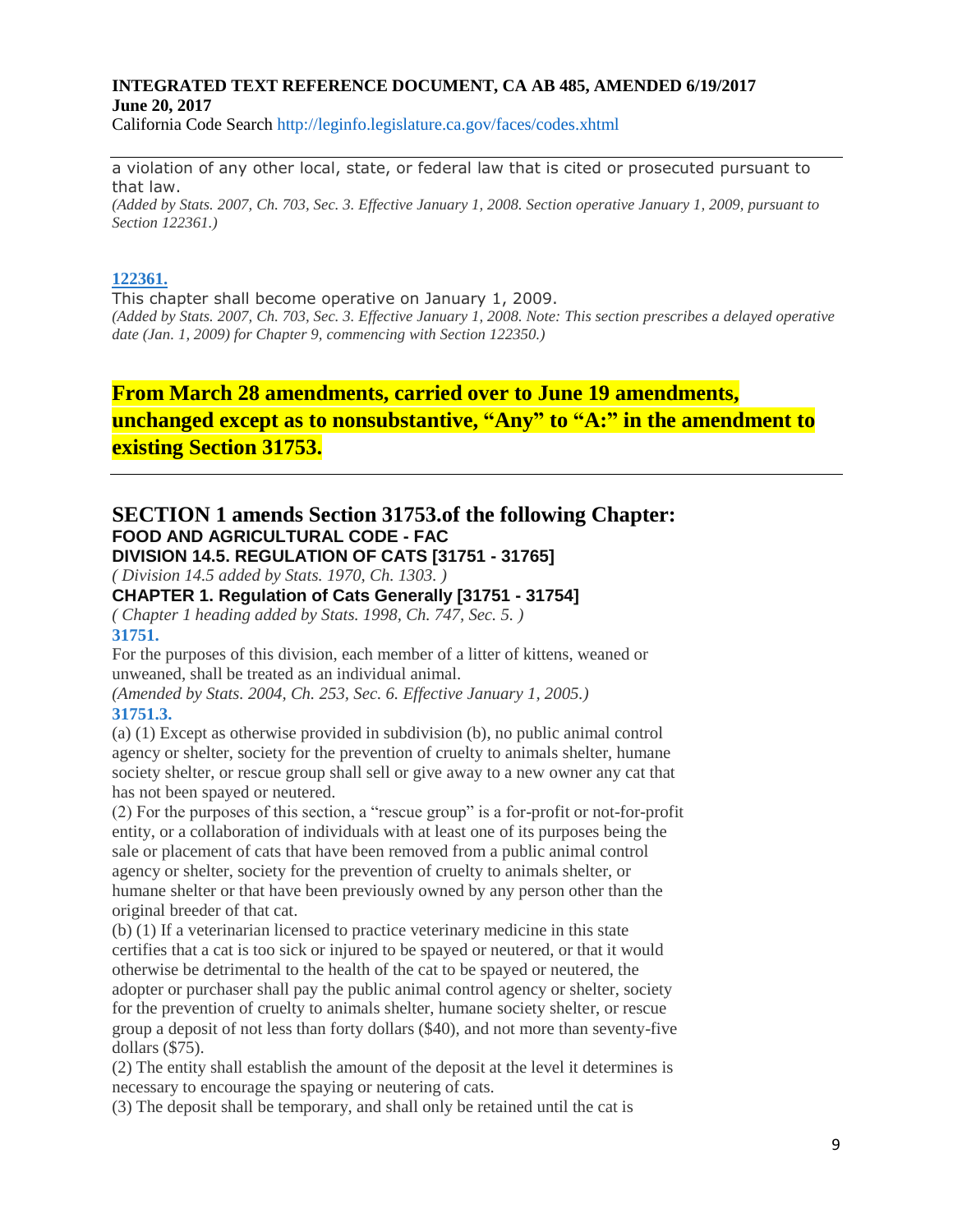California Code Search http://leginfo.legislature.ca.gov/faces/codes.xhtml

a violation of any other local, state, or federal law that is cited or prosecuted pursuant to that law.

(Added by Stats. 2007, Ch. 703, Sec. 3. Effective January 1, 2008. Section operative January 1, 2009, pursuant to *Section 122361.)*

### **[122361.](javascript:submitCodesValues()**

This chapter shall become operative on January 1, 2009. (Added by Stats. 2007, Ch. 703, Sec. 3. Effective January 1, 2008. Note: This section prescribes a delayed operative *date (Jan. 1, 2009) for Chapter 9, commencing with Section 122350.)*

## **From March 28 amendments, carried over to June 19 amendments, unchanged except as to nonsubstantive, "Any" to "A:" in the amendment to existing Section 31753.**

### **SECTION 1 amends Section 31753.of the following Chapter: FOOD AND AGRICULTURAL CODE - FAC DIVISION 14.5. REGULATION OF CATS [31751 - 31765]**

*( Division 14.5 added by Stats. 1970, Ch. 1303. )*

### **CHAPTER 1. Regulation of Cats Generally [31751 - 31754]**

*( Chapter 1 heading added by Stats. 1998, Ch. 747, Sec. 5. )* **31751.**

For the purposes of this division, each member of a litter of kittens, weaned or unweaned, shall be treated as an individual animal.

*(Amended by Stats. 2004, Ch. 253, Sec. 6. Effective January 1, 2005.)* **31751.3.**

(a) (1) Except as otherwise provided in subdivision (b), no public animal control agency or shelter, society for the prevention of cruelty to animals shelter, humane society shelter, or rescue group shall sell or give away to a new owner any cat that has not been spayed or neutered.

(2) For the purposes of this section, a "rescue group" is a for-profit or not-for-profit entity, or a collaboration of individuals with at least one of its purposes being the sale or placement of cats that have been removed from a public animal control agency or shelter, society for the prevention of cruelty to animals shelter, or humane shelter or that have been previously owned by any person other than the original breeder of that cat.

(b) (1) If a veterinarian licensed to practice veterinary medicine in this state certifies that a cat is too sick or injured to be spayed or neutered, or that it would otherwise be detrimental to the health of the cat to be spayed or neutered, the adopter or purchaser shall pay the public animal control agency or shelter, society for the prevention of cruelty to animals shelter, humane society shelter, or rescue group a deposit of not less than forty dollars (\$40), and not more than seventy-five dollars (\$75).

(2) The entity shall establish the amount of the deposit at the level it determines is necessary to encourage the spaying or neutering of cats.

(3) The deposit shall be temporary, and shall only be retained until the cat is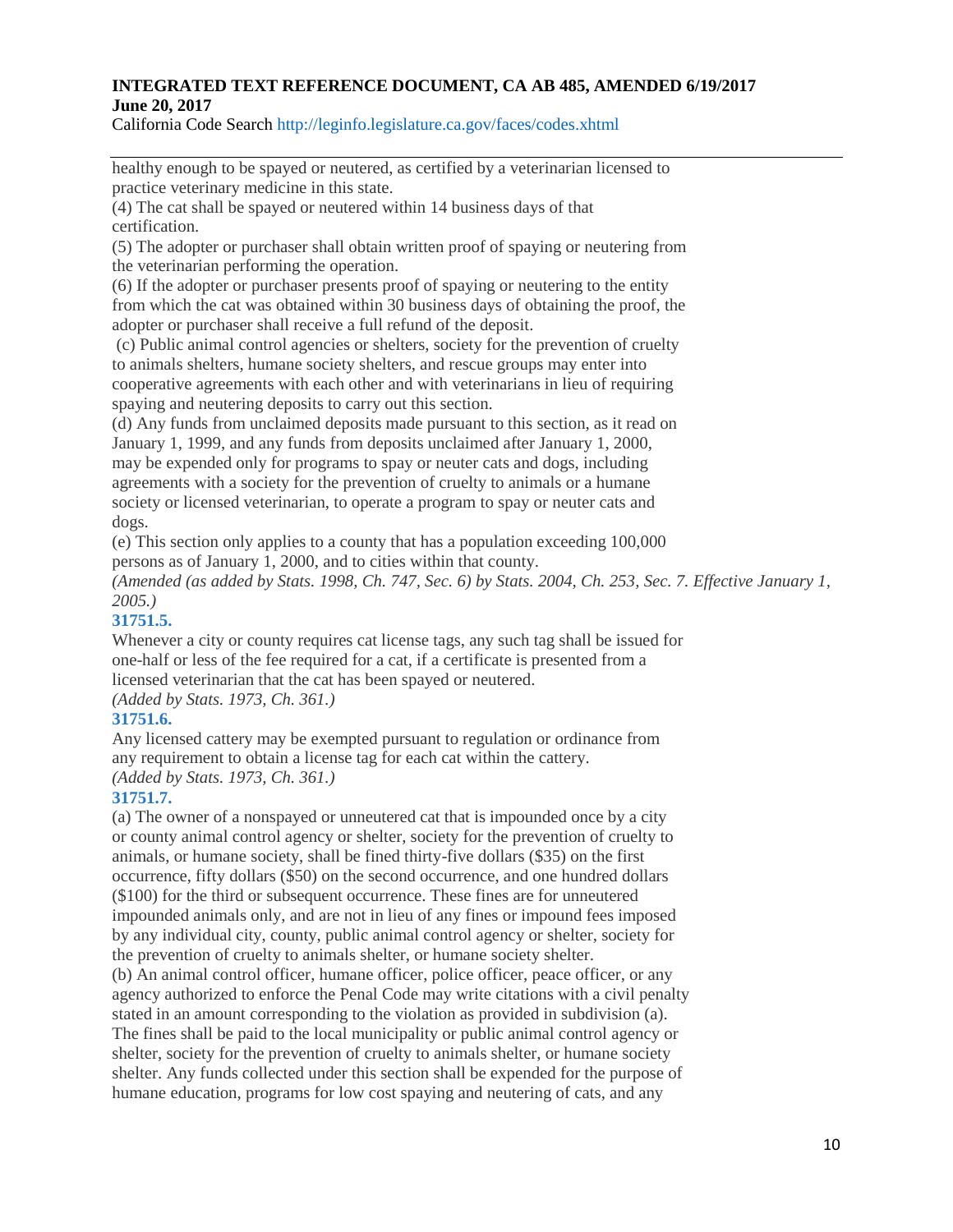California Code Search http://leginfo.legislature.ca.gov/faces/codes.xhtml

healthy enough to be spayed or neutered, as certified by a veterinarian licensed to practice veterinary medicine in this state.

(4) The cat shall be spayed or neutered within 14 business days of that certification.

(5) The adopter or purchaser shall obtain written proof of spaying or neutering from the veterinarian performing the operation.

(6) If the adopter or purchaser presents proof of spaying or neutering to the entity from which the cat was obtained within 30 business days of obtaining the proof, the adopter or purchaser shall receive a full refund of the deposit.

(c) Public animal control agencies or shelters, society for the prevention of cruelty to animals shelters, humane society shelters, and rescue groups may enter into cooperative agreements with each other and with veterinarians in lieu of requiring spaying and neutering deposits to carry out this section.

(d) Any funds from unclaimed deposits made pursuant to this section, as it read on January 1, 1999, and any funds from deposits unclaimed after January 1, 2000, may be expended only for programs to spay or neuter cats and dogs, including agreements with a society for the prevention of cruelty to animals or a humane society or licensed veterinarian, to operate a program to spay or neuter cats and dogs.

(e) This section only applies to a county that has a population exceeding 100,000 persons as of January 1, 2000, and to cities within that county.

*(Amended (as added by Stats. 1998, Ch. 747, Sec. 6) by Stats. 2004, Ch. 253, Sec. 7. Effective January 1, 2005.)*

### **31751.5.**

Whenever a city or county requires cat license tags, any such tag shall be issued for one-half or less of the fee required for a cat, if a certificate is presented from a licensed veterinarian that the cat has been spayed or neutered.

# *(Added by Stats. 1973, Ch. 361.)*

### **31751.6.**

Any licensed cattery may be exempted pursuant to regulation or ordinance from any requirement to obtain a license tag for each cat within the cattery. *(Added by Stats. 1973, Ch. 361.)*

### **31751.7.**

(a) The owner of a nonspayed or unneutered cat that is impounded once by a city or county animal control agency or shelter, society for the prevention of cruelty to animals, or humane society, shall be fined thirty-five dollars (\$35) on the first occurrence, fifty dollars (\$50) on the second occurrence, and one hundred dollars (\$100) for the third or subsequent occurrence. These fines are for unneutered impounded animals only, and are not in lieu of any fines or impound fees imposed by any individual city, county, public animal control agency or shelter, society for the prevention of cruelty to animals shelter, or humane society shelter.

(b) An animal control officer, humane officer, police officer, peace officer, or any agency authorized to enforce the Penal Code may write citations with a civil penalty stated in an amount corresponding to the violation as provided in subdivision (a). The fines shall be paid to the local municipality or public animal control agency or shelter, society for the prevention of cruelty to animals shelter, or humane society shelter. Any funds collected under this section shall be expended for the purpose of humane education, programs for low cost spaying and neutering of cats, and any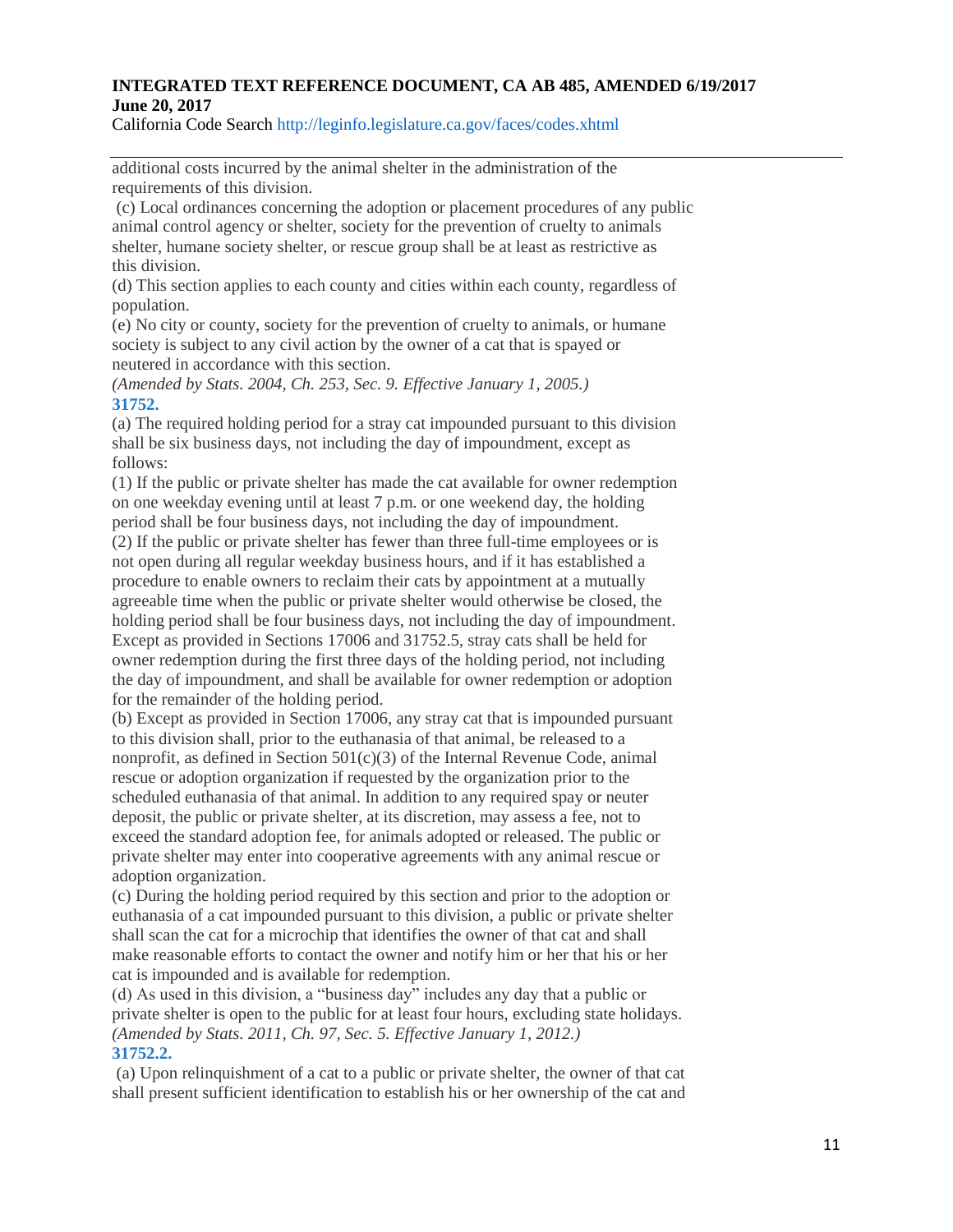California Code Search http://leginfo.legislature.ca.gov/faces/codes.xhtml

additional costs incurred by the animal shelter in the administration of the requirements of this division.

(c) Local ordinances concerning the adoption or placement procedures of any public animal control agency or shelter, society for the prevention of cruelty to animals shelter, humane society shelter, or rescue group shall be at least as restrictive as this division.

(d) This section applies to each county and cities within each county, regardless of population.

(e) No city or county, society for the prevention of cruelty to animals, or humane society is subject to any civil action by the owner of a cat that is spayed or neutered in accordance with this section.

*(Amended by Stats. 2004, Ch. 253, Sec. 9. Effective January 1, 2005.)* **31752.**

(a) The required holding period for a stray cat impounded pursuant to this division shall be six business days, not including the day of impoundment, except as follows:

(1) If the public or private shelter has made the cat available for owner redemption on one weekday evening until at least 7 p.m. or one weekend day, the holding period shall be four business days, not including the day of impoundment.

(2) If the public or private shelter has fewer than three full-time employees or is not open during all regular weekday business hours, and if it has established a procedure to enable owners to reclaim their cats by appointment at a mutually agreeable time when the public or private shelter would otherwise be closed, the holding period shall be four business days, not including the day of impoundment. Except as provided in Sections 17006 and 31752.5, stray cats shall be held for owner redemption during the first three days of the holding period, not including the day of impoundment, and shall be available for owner redemption or adoption for the remainder of the holding period.

(b) Except as provided in Section 17006, any stray cat that is impounded pursuant to this division shall, prior to the euthanasia of that animal, be released to a nonprofit, as defined in Section  $501(c)(3)$  of the Internal Revenue Code, animal rescue or adoption organization if requested by the organization prior to the scheduled euthanasia of that animal. In addition to any required spay or neuter deposit, the public or private shelter, at its discretion, may assess a fee, not to exceed the standard adoption fee, for animals adopted or released. The public or private shelter may enter into cooperative agreements with any animal rescue or adoption organization.

(c) During the holding period required by this section and prior to the adoption or euthanasia of a cat impounded pursuant to this division, a public or private shelter shall scan the cat for a microchip that identifies the owner of that cat and shall make reasonable efforts to contact the owner and notify him or her that his or her cat is impounded and is available for redemption.

(d) As used in this division, a "business day" includes any day that a public or private shelter is open to the public for at least four hours, excluding state holidays. *(Amended by Stats. 2011, Ch. 97, Sec. 5. Effective January 1, 2012.)* **31752.2.**

(a) Upon relinquishment of a cat to a public or private shelter, the owner of that cat shall present sufficient identification to establish his or her ownership of the cat and